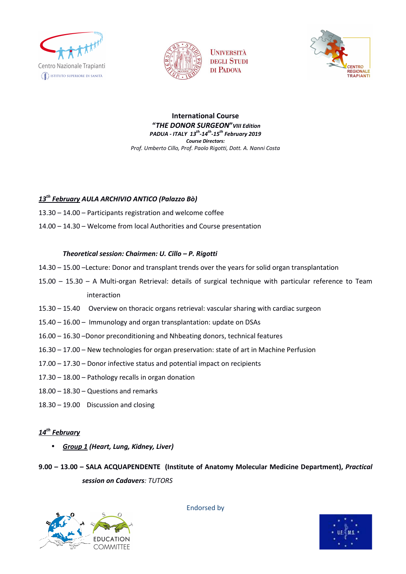





**International Course "***THE DONOR SURGEON***"***VIII Edition PADUA - ITALY 13th-14th-15th February 2019 Course Directors: Prof. Umberto Cillo, Prof. Paolo Rigotti, Dott. A. Nanni Costa* 

### *13th February AULA ARCHIVIO ANTICO (Palazzo Bò)*

- 13.30 14.00 Participants registration and welcome coffee
- 14.00 14.30 Welcome from local Authorities and Course presentation

### *Theoretical session: Chairmen: U. Cillo – P. Rigotti*

- 14.30 15.00 –Lecture: Donor and transplant trends over the years for solid organ transplantation
- 15.00 15.30 A Multi-organ Retrieval: details of surgical technique with particular reference to Team interaction
- 15.30 15.40 Overview on thoracic organs retrieval: vascular sharing with cardiac surgeon
- 15.40 16.00 Immunology and organ transplantation: update on DSAs
- 16.00 16.30 –Donor preconditioning and Nhbeating donors, technical features
- 16.30 17.00 New technologies for organ preservation: state of art in Machine Perfusion
- 17.00 17.30 Donor infective status and potential impact on recipients
- 17.30 18.00 Pathology recalls in organ donation
- 18.00 18.30 Questions and remarks
- 18.30 19.00 Discussion and closing

### *14th February*

• *Group 1 (Heart, Lung, Kidney, Liver)* 

**9.00 – 13.00 – SALA ACQUAPENDENTE (Institute of Anatomy Molecular Medicine Department),** *Practical session on Cadavers: TUTORS* 



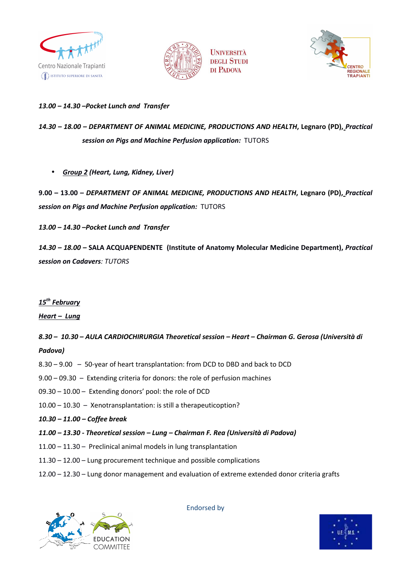





### *13.00 – 14.30 –Pocket Lunch and Transfer*

# *14.30 – 18.00 – DEPARTMENT OF ANIMAL MEDICINE, PRODUCTIONS AND HEALTH***, Legnaro (PD),** *Practical session on Pigs and Machine Perfusion application:* TUTORS

• *Group 2 (Heart, Lung, Kidney, Liver)* 

**9.00 – 13.00 –** *DEPARTMENT OF ANIMAL MEDICINE, PRODUCTIONS AND HEALTH***, Legnaro (PD),** *Practical session on Pigs and Machine Perfusion application:* TUTORS

*13.00 – 14.30 –Pocket Lunch and Transfer* 

*14.30 – 18.00 –* **SALA ACQUAPENDENTE (Institute of Anatomy Molecular Medicine Department),** *Practical session on Cadavers: TUTORS* 

### *15th February*

*Heart – Lung*

## *8.30 – 10.30 – AULA CARDIOCHIRURGIA Theoretical session – Heart – Chairman G. Gerosa (Università di Padova)*

- 8.30 9.00 50-year of heart transplantation: from DCD to DBD and back to DCD
- 9.00 09.30 Extending criteria for donors: the role of perfusion machines
- 09.30 10.00 Extending donors' pool: the role of DCD
- 10.00 10.30 Xenotransplantation: is still a therapeuticoption?
- *10.30 11.00 Coffee break*
- *11.00 13.30 Theoretical session Lung Chairman F. Rea (Università di Padova)*
- 11.00 11.30 Preclinical animal models in lung transplantation
- 11.30 12.00 Lung procurement technique and possible complications
- 12.00 12.30 Lung donor management and evaluation of extreme extended donor criteria grafts



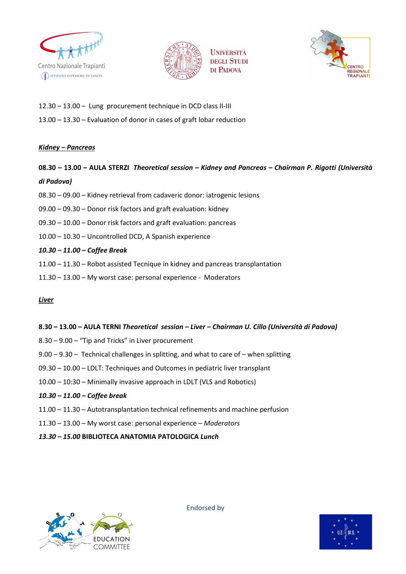





- 12.30 13.00 Lung procurement technique in DCD class II-III
- 13.00 13.30 Evaluation of donor in cases of graft lobar reduction

### *Kidney – Pancreas*

# **08.30 – 13.00 – AULA STERZI** *Theoretical session – Kidney and Pancreas – Chairman P. Rigotti (Università di Padova)*

- 08.30 09.00 Kidney retrieval from cadaveric donor: iatrogenic lesions
- 09.00 09.30 Donor risk factors and graft evaluation: kidney
- 09.30 10.00 Donor risk factors and graft evaluation: pancreas
- 10.00 10.30 Uncontrolled DCD, A Spanish experience

### *10.30 – 11.00 – Coffee Break*

- 11.00 11.30 Robot assisted Tecnique in kidney and pancreas transplantation
- 11.30 13.00 My worst case: personal experience Moderators

#### *Liver*

### **8.30 – 13.00 – AULA TERNI** *Theoretical session – Liver – Chairman U. Cillo (Università di Padova)*

- 8.30 9.00 "Tip and Tricks" in Liver procurement
- 9.00 9.30 Technical challenges in splitting, and what to care of when splitting
- 09.30 10.00 LDLT: Techniques and Outcomes in pediatric liver transplant
- 10.00 10:30 Minimally invasive approach in LDLT (VLS and Robotics)
- *10.30 11.00 Coffee break*
- 11.00 11.30 Autotransplantation technical refinements and machine perfusion
- 11.30 13.00 My worst case: personal experience  *Moderators*
- *13.30 15.00* **BIBLIOTECA ANATOMIA PATOLOGICA** *Lunch*